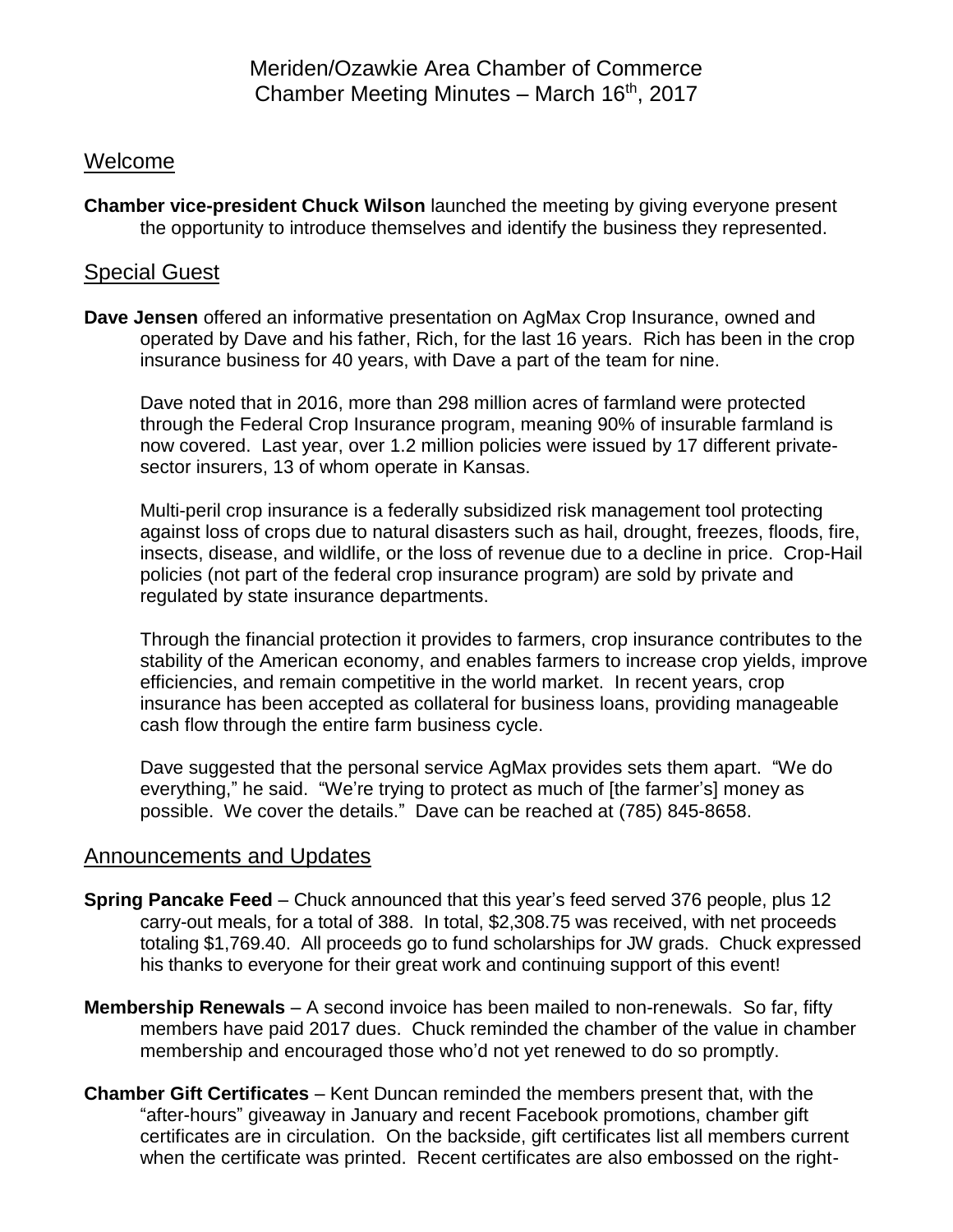Meriden/Ozawkie Area Chamber of Commerce Chamber Meeting Minutes - March 16th, 2017

## Welcome

**Chamber vice-president Chuck Wilson** launched the meeting by giving everyone present the opportunity to introduce themselves and identify the business they represented.

## Special Guest

**Dave Jensen** offered an informative presentation on AgMax Crop Insurance, owned and operated by Dave and his father, Rich, for the last 16 years. Rich has been in the crop insurance business for 40 years, with Dave a part of the team for nine.

Dave noted that in 2016, more than 298 million acres of farmland were protected through the Federal Crop Insurance program, meaning 90% of insurable farmland is now covered. Last year, over 1.2 million policies were issued by 17 different privatesector insurers, 13 of whom operate in Kansas.

Multi-peril crop insurance is a federally subsidized risk management tool protecting against loss of crops due to natural disasters such as hail, drought, freezes, floods, fire, insects, disease, and wildlife, or the loss of revenue due to a decline in price. Crop-Hail policies (not part of the federal crop insurance program) are sold by private and regulated by state insurance departments.

Through the financial protection it provides to farmers, crop insurance contributes to the stability of the American economy, and enables farmers to increase crop yields, improve efficiencies, and remain competitive in the world market. In recent years, crop insurance has been accepted as collateral for business loans, providing manageable cash flow through the entire farm business cycle.

Dave suggested that the personal service AgMax provides sets them apart. "We do everything," he said. "We're trying to protect as much of [the farmer's] money as possible. We cover the details." Dave can be reached at (785) 845-8658.

## Announcements and Updates

- **Spring Pancake Feed** Chuck announced that this year's feed served 376 people, plus 12 carry-out meals, for a total of 388. In total, \$2,308.75 was received, with net proceeds totaling \$1,769.40. All proceeds go to fund scholarships for JW grads. Chuck expressed his thanks to everyone for their great work and continuing support of this event!
- **Membership Renewals** A second invoice has been mailed to non-renewals. So far, fifty members have paid 2017 dues. Chuck reminded the chamber of the value in chamber membership and encouraged those who'd not yet renewed to do so promptly.
- **Chamber Gift Certificates** Kent Duncan reminded the members present that, with the "after-hours" giveaway in January and recent Facebook promotions, chamber gift certificates are in circulation. On the backside, gift certificates list all members current when the certificate was printed. Recent certificates are also embossed on the right-